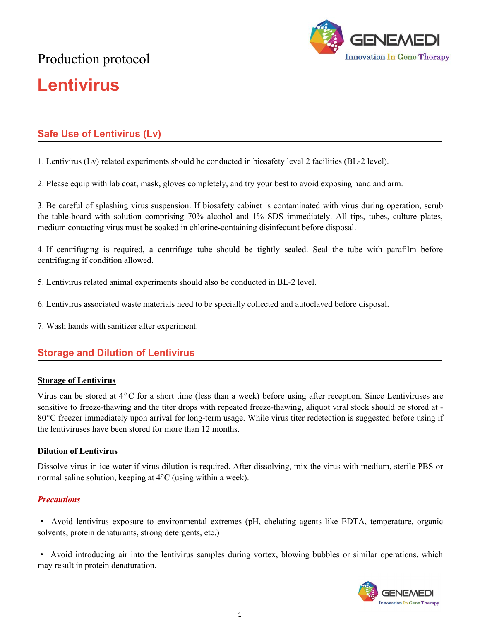# Production protocol **Lentivirus**



# **Safe Use of Lentivirus (Lv)**

1. Lentivirus (Lv) related experiments should be conducted in biosafety level 2 facilities (BL-2 level).

2. Please equip with lab coat, mask, gloves completely, and try your best to avoid exposing hand and arm.

3. Be careful of splashing virus suspension. If biosafety cabinet is contaminated with virus during operation, scrub the table-board with solution comprising 70% alcohol and 1% SDS immediately. All tips, tubes, culture plates, medium contacting virus must be soaked in chlorine-containing disinfectant before disposal.

4. If centrifuging is required, a centrifuge tube should be tightly sealed. Seal the tube with parafilm before centrifuging if condition allowed.

- 5. Lentivirus related animal experiments should also be conducted in BL-2 level.<br>6. Lentivirus associated waste materials need to be specially collected and autoclaved before disposal.
- 7. Wash hands with sanitizer after experiment.

# **Storage and Dilution of Lentivirus**

#### **Storage of Lentivirus**

Virus can be stored at 4°C for a short time (less than a week) before using after reception. Since Lentiviruses are sensitive to freeze-thawing and the titer drops with repeated freeze-thawing, aliquot viral stock should be stored at - 80°C freezer immediately upon arrival for long-term usage. While virus titer redetection is suggested before using if the lentiviruses have been stored for more than 12 months.

### **Dilution of Lentivirus**

Dissolve virus in ice water if virus dilution is required. After dissolving, mix the virus with medium, sterile PBS or normal saline solution, keeping at  $4^{\circ}$ C (using within a week).

### *Precautions*

· Avoid lentivirus exposure to environmental extremes (pH, chelating agents like EDTA, temperature, organic solvents, protein denaturants, strong detergents, etc.)

· Avoid introducing air into the lentivirus samples during vortex, blowing bubbles or similar operations, which may result in protein denaturation.

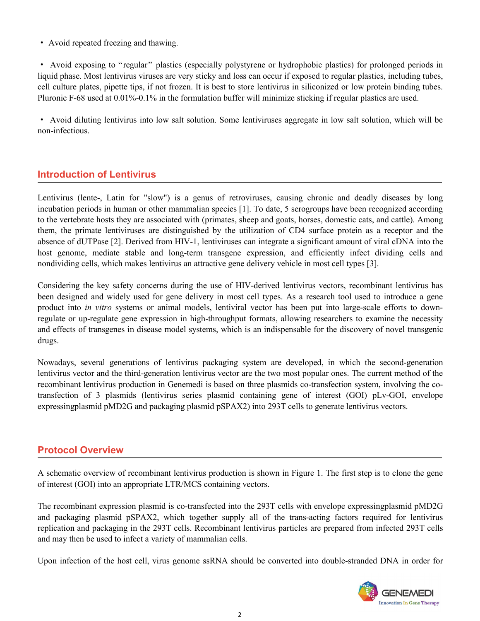· Avoid repeated freezing and thawing.

· Avoid exposing to "regular" plastics (especially polystyrene or hydrophobic plastics) for prolonged periods in liquid phase. Most lentivirus viruses are very sticky and loss can occur if exposed to regular plastics, including tubes, cell culture plates, pipette tips, if not frozen. It is best to store lentivirus in siliconized or low protein binding tubes. Pluronic F-68 used at 0.01%-0.1% in the formulation buffer will minimize sticking if regular plastics are used.

· Avoid diluting lentivirus into low salt solution. Some lentiviruses aggregate in low salt solution, which will be non-infectious.

# **Introduction of Lentivirus**

Lentivirus (lente-, Latin for "slow") is a genus of retroviruses, causing chronic and deadly diseases by long incubation periods in human or other mammalian species [1]. To date, 5 serogroups have been recognized according to the vertebrate hosts they are associated with (primates, sheep and goats, horses, domestic cats, and cattle). Among them, the primate lentiviruses are distinguished by the utilization of CD4 surface protein as a receptor and the absence of dUTPase [2]. Derived from HIV-1, lentiviruses can integrate a significant amount of viral cDNA into the host genome, mediate stable and long-term transgene expression, and efficiently infect dividing cells and nondividing cells, which makes lentivirus an attractive gene delivery vehicle in most cell types [3].

Considering the key safety concerns during the use of HIV-derived lentivirus vectors, recombinant lentivirus has been designed and widely used for gene delivery in most cell types. As a research tool used to introduce a gene product into *in vitro* systems or animal models, lentiviral vector has been put into large-scale efforts to downregulate or up-regulate gene expression in high-throughput formats, allowing researchers to examine the necessity and effects of transgenes in disease model systems, which is an indispensable for the discovery of novel transgenic drugs.

Nowadays, several generations of lentivirus packaging system are developed, in which the second-generation lentivirus vector and the third-generation lentivirus vector are the two most popular ones. The current method of the recombinant lentivirus production in Genemedi is based on three plasmids co-transfection system, involving the cotransfection of 3 plasmids (lentivirus series plasmid containing gene of interest (GOI) pLv-GOI, envelope expressingplasmid pMD2G and packaging plasmid pSPAX2) into 293T cells to generate lentivirus vectors.

# **Protocol Overview**

A schematic overview of recombinant lentivirus production is shown in Figure 1. The first step is to clone the gene of interest (GOI) into an appropriate LTR/MCS containing vectors.

The recombinant expression plasmid is co-transfected into the 293T cells with envelope expressingplasmid pMD2G and packaging plasmid pSPAX2, which together supply all of the trans-acting factors required for lentivirus replication and packaging in the 293T cells. Recombinant lentivirus particles are prepared from infected 293T cells and may then be used to infect a variety of mammalian cells.

Upon infection of the host cell, virus genome ssRNA should be converted into double-stranded DNA in order for

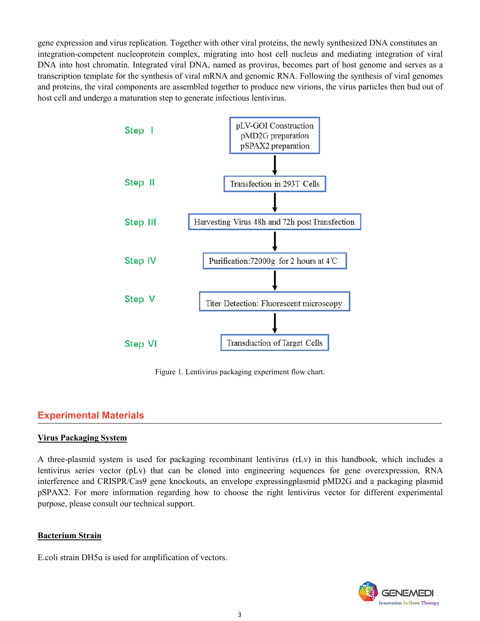gene expression and virus replication. Together with other viral proteins, the newly synthesized DNA constitutes an integration-competent nucleoprotein complex, migrating into host cell nucleus and mediating integration of viral DNA into host chromatin. Integrated viral DNA, named as provirus, becomes part of host genome and serves as a transcription template for the synthesis of viral mRNA and genomic RNA. Following the synthesis of viral genomes and proteins, the viral components are assembled together to produce new virions, the virus particles then bud out of host cell and undergo a maturation step to generate infectious lentivirus.



Figure 1. Lentivirus packaging experiment flow chart.

# **Experimental Materials**

### **Virus Packaging System**

A three-plasmid system is used for packaging recombinant lentivirus (rLv) in this handbook, which includes a lentivirus series vector (pLv) that can be cloned into engineering sequences for gene overexpression, RNA interference and CRISPR/Cas9 gene knockouts, an envelope expressingplasmid pMD2G and a packaging plasmid pSPAX2. For more information regarding how to choose the right lentivirus vector for different experimental purpose, please consult our technical support.

### **Bacterium Strain**

E.coli strain DH5ɑ is used for amplification of vectors.

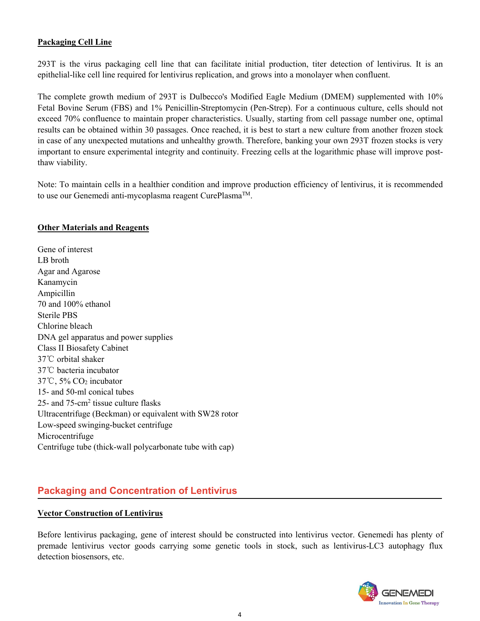### **Packaging Cell Line**

293T is the virus packaging cell line that can facilitate initial production, titer detection of lentivirus. It is an epithelial-like cell line required for lentivirus replication, and grows into a monolayer when confluent.

The complete growth medium of 293T is Dulbecco's Modified Eagle Medium (DMEM) supplemented with 10% Fetal Bovine Serum (FBS) and 1% Penicillin-Streptomycin (Pen-Strep). For a continuous culture, cells should not exceed 70% confluence to maintain proper characteristics. Usually, starting from cell passage number one, optimal results can be obtained within 30 passages. Once reached, it is best to start a new culture from another frozen stock in case of any unexpected mutations and unhealthy growth. Therefore, banking your own 293T frozen stocks is very important to ensure experimental integrity and continuity. Freezing cellsat the logarithmic phase will improve postthaw viability.

Note: To maintain cells in a healthier condition and improve production efficiency of lentivirus, it is recommended to use our Genemedi anti-mycoplasma reagent CurePlasma™.

#### **Other Materials and Reagents**

Gene of interest LB broth Agar and Agarose Kanamycin Ampicillin 70 and 100% ethanol Sterile PBS Chlorine bleach DNA gel apparatus and power supplies Class II Biosafety Cabinet 37℃ orbital shaker 37℃ bacteria incubator 37℃, 5% CO<sup>2</sup> incubator 15- and 50-ml conical tubes 25- and 75-cm<sup>2</sup> tissue culture flasks Ultracentrifuge (Beckman) or equivalent with SW28 rotor Low-speed swinging-bucket centrifuge Microcentrifuge Centrifuge tube (thick-wall polycarbonate tube with cap)

# **Packaging and Concentration of Lentivirus**

### **Vector Construction of Lentivirus**

Before lentivirus packaging, gene of interest should be constructed into lentivirus vector. Genemedi has plenty of premade lentivirus vector goods carrying some genetic tools in stock, such as lentivirus-LC3 autophagy flux detection biosensors, etc.

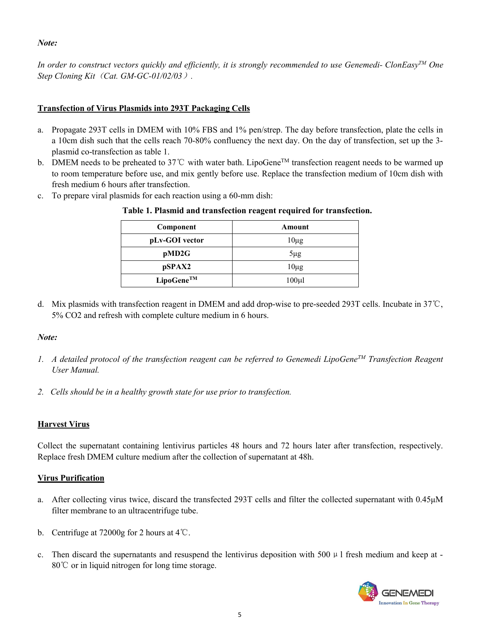*Note:*

In order to construct vectors quickly and efficiently, it is strongly recommended to use Genemedi- ClonEasy<sup>TM</sup> One *Step Cloning Kit*(*Cat. GM-GC-01/02/03*)*.*

# **Transfection of Virus Plasmids into 293T Packaging Cells**

- a. Propagate 293T cells in DMEM with 10% FBS and 1% pen/strep. The day before transfection, plate the cells in a 10cm dish such that the cells reach 70-80% confluency the next day. On the day of transfection, set up the 3 plasmid co-transfection as table 1.
- b. DMEM needs to be preheated to 37°C with water bath. LipoGene<sup>™</sup> transfection reagent needs to be warmed up to room temperature before use, and mix gently before use. Replace the transfection medium of 10cm dish with fresh medium 6 hours after transfection.
- c. To prepare viral plasmids for each reaction using a 60-mm dish:

| Component      | Amount      |
|----------------|-------------|
| pLv-GOI vector | $10\mu$ g   |
| pMD2G          | $5\mu$ g    |
| pSPAX2         | $10\mu$ g   |
| LipoGene™      | $100 \mu l$ |

# **Table 1. Plasmid and transfection reagent required for transfection.**

d. Mix plasmids with transfection reagent in DMEM and add drop-wise to pre-seeded 293T cells. Incubate in 37℃, 5% CO2 and refresh with complete culture medium in 6 hours.

# *Note:*

- 1. A detailed protocol of the transfection reagent can be referred to Genemedi LipoGene<sup>TM</sup> Transfection Reagent *User Manual.*
- *2. Cells should be in a healthy growth state for use prior to transfection.*

# **Harvest Virus**

Collect the supernatant containing lentivirus particles 48 hours and 72 hours later after transfection, respectively. Replace fresh DMEM culture medium after the collection of supernatant at 48h.

# **Virus Purification**

- a. After collecting virus twice, discard the transfected 293T cells and filter the collected supernatant with 0.45μM filter membrane to an ultracentrifuge tube.
- b. Centrifuge at 72000g for 2 hours at 4℃.
- c. Then discard the supernatants and resuspend the lentivirus deposition with 500  $\mu$  l fresh medium and keep at -80℃ or in liquid nitrogen for long time storage.

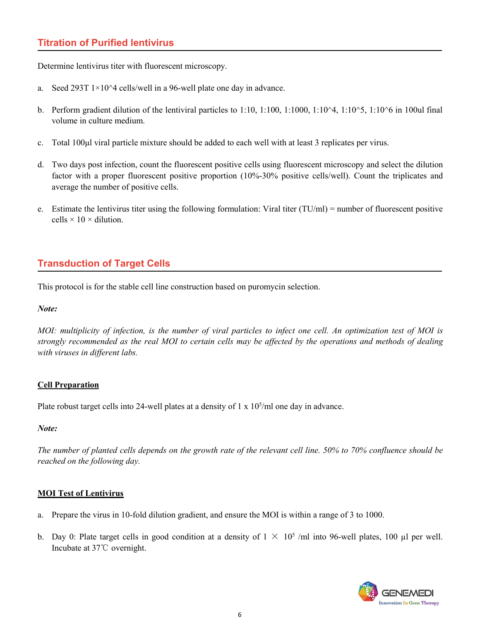# **Titration of Purified lentivirus**

Determine lentivirus titer with fluorescent microscopy.

- 
- a. Seed 293T  $1\times10^4$  cells/well in a 96-well plate one day in advance.<br>b. Perform gradient dilution of the lentiviral particles to 1:10, 1:100, 1:1000, 1:10^4, 1:10^5, 1:10^6 in 100ul final volume in culture medium.
- c. Total 100μl viral particle mixture should be added to each well with at least 3 replicates per virus.
- d. Two days post infection, count the fluorescent positive cells using fluorescent microscopy and select the dilution factor with a proper fluorescent positive proportion (10%-30% positive cells/well). Count the triplicates and average the number of positive cells.
- e. Estimate the lentivirus titer using the following formulation: Viral titer  $(TU/ml)$  = number of fluorescent positive cells  $\times$  10  $\times$  dilution.

# **Transduction of Target Cells**

This protocol is for the stable cell line construction based on puromycin selection.

### *Note:*

MOI: multiplicity of infection, is the number of viral particles to infect one cell. An optimization test of MOI is strongly recommended as the real MOI to certain cells may be affected by the operations and methods of dealing *with viruses in dif erent labs.*

# **Cell Preparation**

Plate robust target cells into 24-well plates at a density of 1 x 10<sup>5</sup>/ml one day in advance.

### *Note:*

The number of planted cells depends on the growth rate of the relevant cell line. 50% to 70% confluence should be *reached on the following day.*

# **MOI Test of Lentivirus**

- a. Prepare the virus in 10-fold dilution gradient, and ensure the MOI is within a range of 3 to 1000.
- b. Day 0: Plate target cells in good condition at a density of  $1 \times 10^5$  /ml into 96-well plates, 100 µl per well. Incubate at 37℃ overnight.

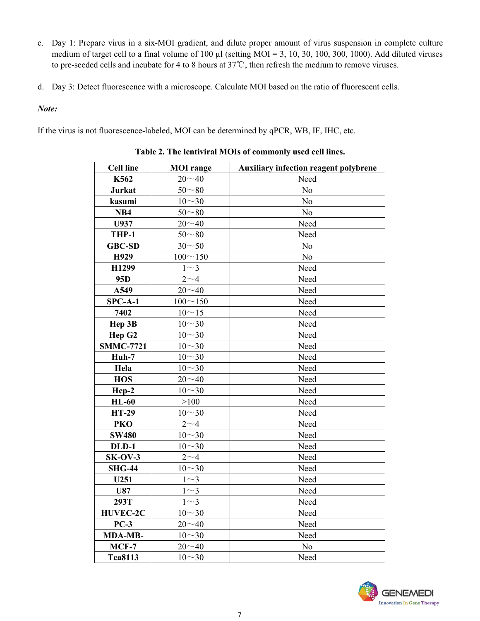- c. Day 1: Prepare virus in a six-MOI gradient, and dilute proper amount of virus suspension in complete culture medium of target cell to a final volume of 100  $\mu$ l (setting MOI = 3, 10, 30, 100, 300, 1000). Add diluted viruses to pre-seeded cellsand incubate for 4 to 8 hours at 37℃, then refresh the medium to remove viruses.
- d. Day 3: Detect fluorescence with a microscope. Calculate MOI based on the ratio of fluorescent cells.

### *Note:*

If the virus is not fluorescence-labeled, MOI can be determined by qPCR, WB, IF, IHC, etc.

| <b>Cell line</b>   | <b>MOI</b> range | <b>Auxiliary infection reagent polybrene</b> |
|--------------------|------------------|----------------------------------------------|
| K562               | $20 - 40$        | Need                                         |
| Jurkat             | $50 - 80$        | N <sub>o</sub>                               |
| kasumi             | $10 - 30$        | N <sub>o</sub>                               |
| NB <sub>4</sub>    | $50 - 80$        | N <sub>o</sub>                               |
| U937               | $20 - 40$        | Need                                         |
| THP-1              | $50 - 80$        | Need                                         |
| <b>GBC-SD</b>      | $30 - 50$        | N <sub>o</sub>                               |
| H929               | $100 - 150$      | N <sub>o</sub>                               |
| H1299              | $1\sim3$         | Need                                         |
| 95 <sub>D</sub>    | $2\sim 4$        | Need                                         |
| A549               | $20 - 40$        | Need                                         |
| $SPC-A-1$          | $100 - 150$      | Need                                         |
| 7402               | $10 - 15$        | Need                                         |
| Hep 3B             | $10 - 30$        | Need                                         |
| Hep G <sub>2</sub> | $10 - 30$        | Need                                         |
| <b>SMMC-7721</b>   | $10 - 30$        | Need                                         |
| Huh-7              | $10 - 30$        | Need                                         |
| Hela               | $10 - 30$        | Need                                         |
| <b>HOS</b>         | $20 - 40$        | Need                                         |
| Hep-2              | $10 - 30$        | Need                                         |
| $HL-60$            | >100             | Need                                         |
| <b>HT-29</b>       | $10 - 30$        | Need                                         |
| PKO                | $2\sim4$         | Need                                         |
| <b>SW480</b>       | $10 - 30$        | Need                                         |
| DLD-1              | $10 - 30$        | Need                                         |
| $SK-OV-3$          | $2\sim4$         | Need                                         |
| <b>SHG-44</b>      | $10 - 30$        | Need                                         |
| U251               | $1\sim3$         | Need                                         |
| <b>U87</b>         | $1\sim3$         | Need                                         |
| 293T               | $1\sim3$         | Need                                         |
| <b>HUVEC-2C</b>    | $10 - 30$        | Need                                         |
| $PC-3$             | $20 - 40$        | Need                                         |
| MDA-MB-            | $10 - 30$        | Need                                         |
| $MCF-7$            | $20 - 40$        | No                                           |
| <b>Tca8113</b>     | $10 - 30$        | Need                                         |

**Table 2. The lentiviral MOIs ofcommonly used cell lines.**

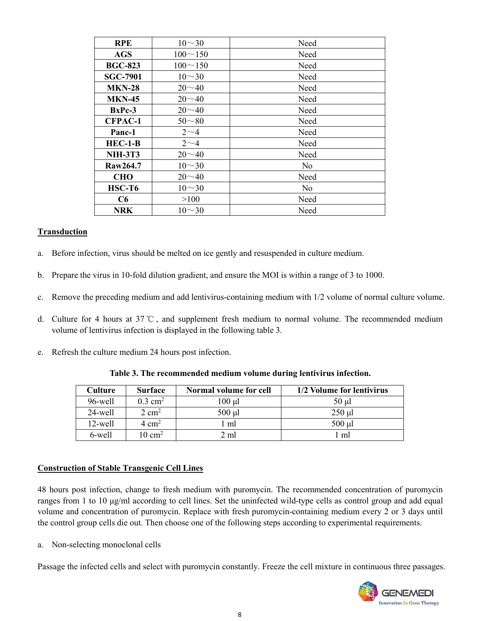| <b>RPE</b>      | $10 - 30$      | Need           |
|-----------------|----------------|----------------|
| <b>AGS</b>      | $100 \sim 150$ | Need           |
| <b>BGC-823</b>  | $100 \sim 150$ | Need           |
| <b>SGC-7901</b> | $10 - 30$      | Need           |
| <b>MKN-28</b>   | $20 - 40$      | Need           |
| <b>MKN-45</b>   | $20 - 40$      | Need           |
| $BxPc-3$        | $20 - 40$      | Need           |
| <b>CFPAC-1</b>  | $50 - 80$      | Need           |
| Panc-1          | $2\sim4$       | Need           |
| $HEC-1-B$       | $2\sim4$       | Need           |
| <b>NIH-3T3</b>  | $20 - 40$      | Need           |
| Raw264.7        | $10 - 30$      | No             |
| <b>CHO</b>      | $20 - 40$      | Need           |
| $HSC-T6$        | $10 - 30$      | N <sub>o</sub> |
| C6              | >100           | Need           |
| NRK             | $10 - 30$      | Need           |

### **Transduction**

- a. Before infection, virus should be melted on ice gently and resuspended in culture medium.
- b. Prepare the virus in 10-fold dilution gradient, and ensure the MOI is within a range of 3 to 1000.
- c. Remove the preceding medium and add lentivirus-containing medium with 1/2 volume of normal culture volume.
- d. Culture for 4 hours at 37 ℃ , and supplement fresh medium to normal volume. The recommended medium volume of lentivirus infection is displayed in the following table 3.
- e. Refresh the culture medium 24 hours post infection.

| Culture    | <b>Surface</b>        | Normal volume for cell | 1/2 Volume for lentivirus |
|------------|-----------------------|------------------------|---------------------------|
| 96-well    | $0.3$ cm <sup>2</sup> | .00 µl                 | $50 \mu$                  |
| $24$ -well | $2 \text{ cm}^2$      | 500 µl                 | $250$ µl                  |
| 12-well    | $4 \text{ cm}^2$      | ml                     | $500$ µl                  |
| 6-well     | $10 \text{ cm}^2$     | 2 ml                   | l ml                      |

#### **Table 3. The recommended medium volume during lentivirus infection.**

#### **Construction of Stable Transgenic Cell Lines**

48 hours post infection, change to fresh medium with puromycin. The recommended concentration of puromycin ranges from 1 to 10 μg/ml according to cell lines. Set the uninfected wild-type cells as control group and add equal volume and concentration of puromycin. Replace with fresh puromycin-containing medium every 2 or 3 days until the control group cells die out. Then choose one of the following steps according to experimental requirements.

a. Non-selecting monoclonal cells

Passage the infected cells and select with puromycin constantly. Freeze the cell mixture in continuous three passages.

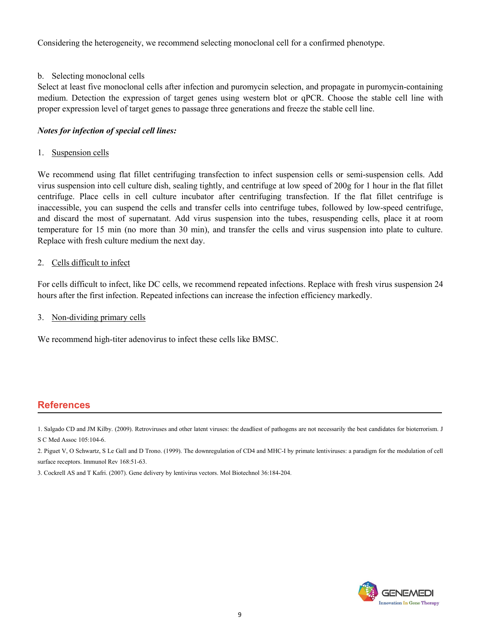Considering the heterogeneity, we recommend selecting monoclonal cell for a confirmed phenotype.

# b. Selecting monoclonal cells

Select at least five monoclonal cells after infection and puromycin selection, and propagate in puromycin-containing medium. Detection the expression of target genes using western blot or qPCR. Choose the stable cell line with proper expression level oftarget genes to passage three generations and freeze the stable cell line.

### *Notes for infection of special cell lines:*

### 1. Suspension cells

We recommend using flat fillet centrifuging transfection to infect suspension cells or semi-suspension cells. Add virus suspension into cell culture dish, sealing tightly, and centrifuge at low speed of 200g for 1 hour in the flat fillet centrifuge. Place cells in cell culture incubator after centrifuging transfection. If the flat fillet centrifuge is inaccessible, you can suspend the cells and transfer cells into centrifuge tubes, followed by low-speed centrifuge, and discard the most of supernatant. Add virus suspension into the tubes, resuspending cells, place it at room temperature for 15 min (no more than 30 min), and transfer the cells and virus suspension into plate to culture. Replace with fresh culture medium the next day.

### 2. Cells difficult to infect

For cells difficult to infect, like DC cells, we recommend repeated infections. Replace with fresh virus suspension 24 hours after the first infection. Repeated infections can increase the infection efficiency markedly.

### 3. Non-dividing primary cells

We recommend high-titer adenovirus to infect these cells like BMSC.

# **References**

1. Salgado CD and JM Kilby. (2009). Retroviruses and other latent viruses: the deadliest of pathogens are not necessarily the best candidates for bioterrorism. J S C Med Assoc 105:104-6.

2. Piguet V, O Schwartz, S Le Gall and D Trono. (1999). The downregulation of CD4 and MHC-Iby primate lentiviruses: a paradigm for the modulation of cell surface receptors. Immunol Rev 168:51-63.

3. Cockrell AS and T Kafri. (2007). Gene delivery by lentivirus vectors. Mol Biotechnol 36:184-204.